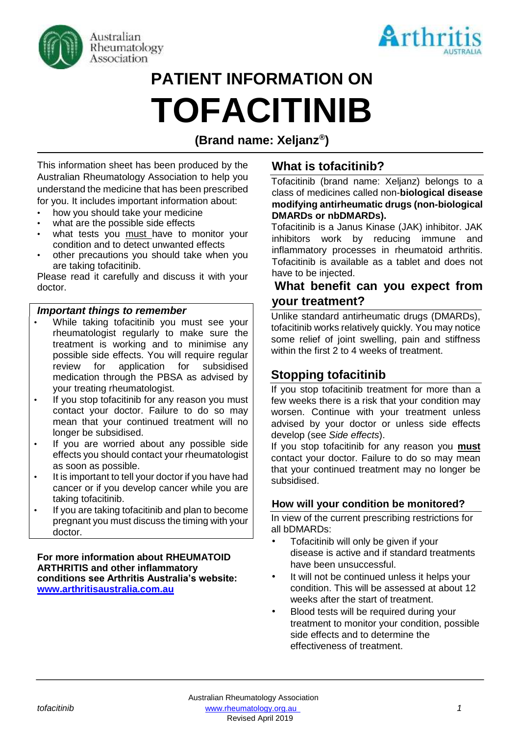



# **PATIENT INFORMATION ON TOFACITINIB**

# **(Brand name: Xeljanz® )**

This information sheet has been produced by the Australian Rheumatology Association to help you understand the medicine that has been prescribed for you. It includes important information about:

- how you should take your medicine
- what are the possible side effects
- what tests you must have to monitor your condition and to detect unwanted effects
- other precautions you should take when you are taking tofacitinib.

Please read it carefully and discuss it with your doctor.

#### *Important things to remember*

- While taking tofacitinib you must see your rheumatologist regularly to make sure the treatment is working and to minimise any possible side effects. You will require regular review for application for subsidised medication through the PBSA as advised by your treating rheumatologist.
- If you stop tofacitinib for any reason you must contact your doctor. Failure to do so may mean that your continued treatment will no longer be subsidised.
- If you are worried about any possible side effects you should contact your rheumatologist as soon as possible.
- It is important to tell your doctor if you have had cancer or if you develop cancer while you are taking tofacitinib.
- If you are taking tofacitinib and plan to become pregnant you must discuss the timing with your doctor.

#### **For more information about RHEUMATOID ARTHRITIS and other inflammatory conditions see Arthritis Australia's website: [www.arthritisaustralia.com.au](http://www.arthritisaustralia.com.au/)**

# **What is tofacitinib?**

Tofacitinib (brand name: Xeljanz) belongs to a class of medicines called non-**biological disease modifying antirheumatic drugs (non-biological DMARDs or nbDMARDs).**

Tofacitinib is a Janus Kinase (JAK) inhibitor. JAK inhibitors work by reducing immune and inflammatory processes in rheumatoid arthritis. Tofacitinib is available as a tablet and does not have to be injected.

# **What benefit can you expect from your treatment?**

Unlike standard antirheumatic drugs (DMARDs), tofacitinib works relatively quickly. You may notice some relief of joint swelling, pain and stiffness within the first 2 to 4 weeks of treatment.

# **Stopping tofacitinib**

If you stop tofacitinib treatment for more than a few weeks there is a risk that your condition may worsen. Continue with your treatment unless advised by your doctor or unless side effects develop (see *Side effects*).

If you stop tofacitinib for any reason you **must** contact your doctor. Failure to do so may mean that your continued treatment may no longer be subsidised.

#### **How will your condition be monitored?**

In view of the current prescribing restrictions for all bDMARDs:

- Tofacitinib will only be given if your disease is active and if standard treatments have been unsuccessful.
- It will not be continued unless it helps your condition. This will be assessed at about 12 weeks after the start of treatment.
- Blood tests will be required during your treatment to monitor your condition, possible side effects and to determine the effectiveness of treatment.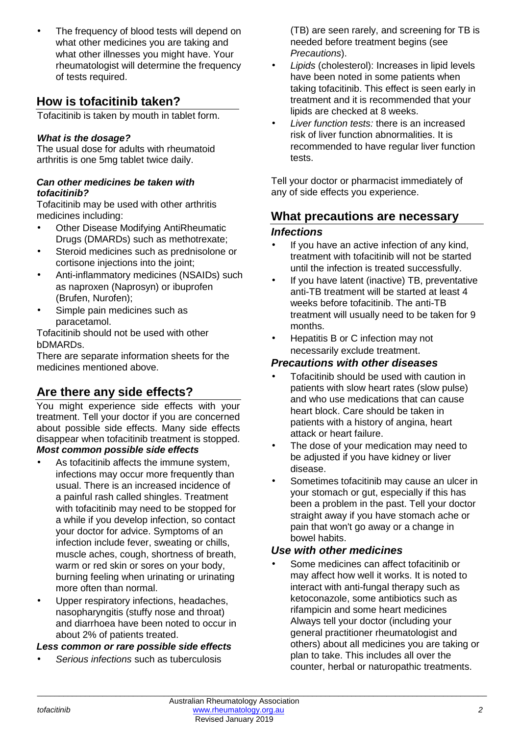• The frequency of blood tests will depend on what other medicines you are taking and what other illnesses you might have. Your rheumatologist will determine the frequency of tests required.

# **How is tofacitinib taken?**

Tofacitinib is taken by mouth in tablet form.

#### *What is the dosage?*

The usual dose for adults with rheumatoid arthritis is one 5mg tablet twice daily.

#### *Can other medicines be taken with tofacitinib?*

Tofacitinib may be used with other arthritis medicines including:

- Other Disease Modifying AntiRheumatic Drugs (DMARDs) such as methotrexate;
- Steroid medicines such as prednisolone or cortisone injections into the joint;
- Anti-inflammatory medicines (NSAIDs) such as naproxen (Naprosyn) or ibuprofen (Brufen, Nurofen);
- Simple pain medicines such as paracetamol.

Tofacitinib should not be used with other bDMARDs.

There are separate information sheets for the medicines mentioned above.

# **Are there any side effects?**

You might experience side effects with your treatment. Tell your doctor if you are concerned about possible side effects. Many side effects disappear when tofacitinib treatment is stopped. *Most common possible side effects* 

- As tofacitinib affects the immune system, infections may occur more frequently than usual. There is an increased incidence of a painful rash called shingles. Treatment with tofacitinib may need to be stopped for a while if you develop infection, so contact your doctor for advice. Symptoms of an infection include fever, sweating or chills, muscle aches, cough, shortness of breath, warm or red skin or sores on your body, burning feeling when urinating or urinating more often than normal.
- Upper respiratory infections, headaches, nasopharyngitis (stuffy nose and throat) and diarrhoea have been noted to occur in about 2% of patients treated.

#### *Less common or rare possible side effects*

• *Serious infections* such as tuberculosis

(TB) are seen rarely, and screening for TB is needed before treatment begins (see *Precautions*).

- *Lipids* (cholesterol): Increases in lipid levels have been noted in some patients when taking tofacitinib. This effect is seen early in treatment and it is recommended that your lipids are checked at 8 weeks.
- *Liver function tests:* there is an increased risk of liver function abnormalities. It is recommended to have regular liver function tests.

Tell your doctor or pharmacist immediately of any of side effects you experience.

# **What precautions are necessary**  *Infections*

- If you have an active infection of any kind. treatment with tofacitinib will not be started until the infection is treated successfully.
- If you have latent (inactive) TB, preventative anti-TB treatment will be started at least 4 weeks before tofacitinib. The anti-TB treatment will usually need to be taken for 9 months.
- Hepatitis B or C infection may not necessarily exclude treatment.

# *Precautions with other diseases*

- Tofacitinib should be used with caution in patients with slow heart rates (slow pulse) and who use medications that can cause heart block. Care should be taken in patients with a history of angina, heart attack or heart failure.
- The dose of your medication may need to be adjusted if you have kidney or liver disease.
- Sometimes tofacitinib may cause an ulcer in your stomach or gut, especially if this has been a problem in the past. Tell your doctor straight away if you have stomach ache or pain that won't go away or a change in bowel habits.

# *Use with other medicines*

• Some medicines can affect tofacitinib or may affect how well it works. It is noted to interact with anti-fungal therapy such as ketoconazole, some antibiotics such as rifampicin and some heart medicines Always tell your doctor (including your general practitioner rheumatologist and others) about all medicines you are taking or plan to take. This includes all over the counter, herbal or naturopathic treatments.

\_\_\_\_\_\_\_\_\_\_\_\_\_\_\_\_\_\_\_\_\_\_\_\_\_\_\_\_\_\_\_\_\_\_\_\_\_\_\_\_\_\_\_\_\_\_\_\_\_\_\_\_\_\_\_\_\_\_\_\_\_\_\_\_\_\_\_\_\_\_\_\_\_\_\_\_\_\_\_\_\_\_\_\_\_\_\_\_\_\_\_\_\_\_\_\_\_\_\_\_\_\_\_